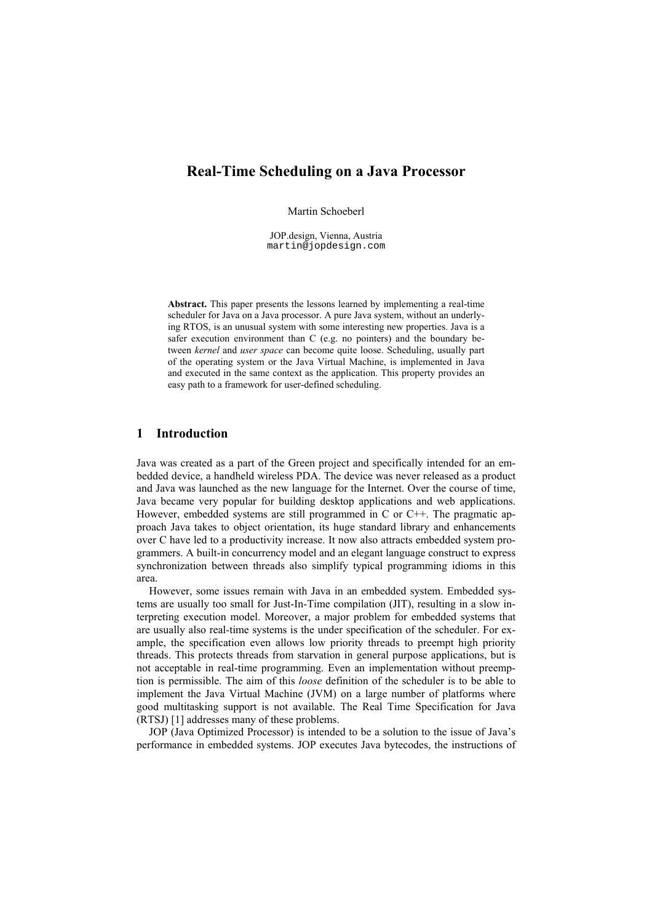# **Real-Time Scheduling on a Java Processor**

Martin Schoeberl

JOP design, Vienna, Austria martin@jopdesign.com

Abstract. This paper presents the lessons learned by implementing a real-time scheduler for Java on a Java processor. A pure Java system, without an underlying RTOS, is an unusual system with some interesting new properties. Java is a safer execution environment than C (e.g. no pointers) and the boundary between kernel and user space can become quite loose. Scheduling, usually part of the operating system or the Java Virtual Machine, is implemented in Java and executed in the same context as the application. This property provides an easy path to a framework for user-defined scheduling.

#### $\mathbf{1}$ **Introduction**

Java was created as a part of the Green project and specifically intended for an embedded device, a handheld wireless PDA. The device was never released as a product and Java was launched as the new language for the Internet. Over the course of time, Java became very popular for building desktop applications and web applications. However, embedded systems are still programmed in C or  $C++$ . The pragmatic approach Java takes to object orientation, its huge standard library and enhancements over C have led to a productivity increase. It now also attracts embedded system programmers. A built-in concurrency model and an elegant language construct to express synchronization between threads also simplify typical programming idioms in this area

However, some issues remain with Java in an embedded system. Embedded systems are usually too small for Just-In-Time compilation (JIT), resulting in a slow interpreting execution model. Moreover, a major problem for embedded systems that are usually also real-time systems is the under specification of the scheduler. For example, the specification even allows low priority threads to preempt high priority threads. This protects threads from starvation in general purpose applications, but is not acceptable in real-time programming. Even an implementation without preemption is permissible. The aim of this loose definition of the scheduler is to be able to implement the Java Virtual Machine (JVM) on a large number of platforms where good multitasking support is not available. The Real Time Specification for Java (RTSJ) [1] addresses many of these problems.

JOP (Java Optimized Processor) is intended to be a solution to the issue of Java's performance in embedded systems. JOP executes Java bytecodes, the instructions of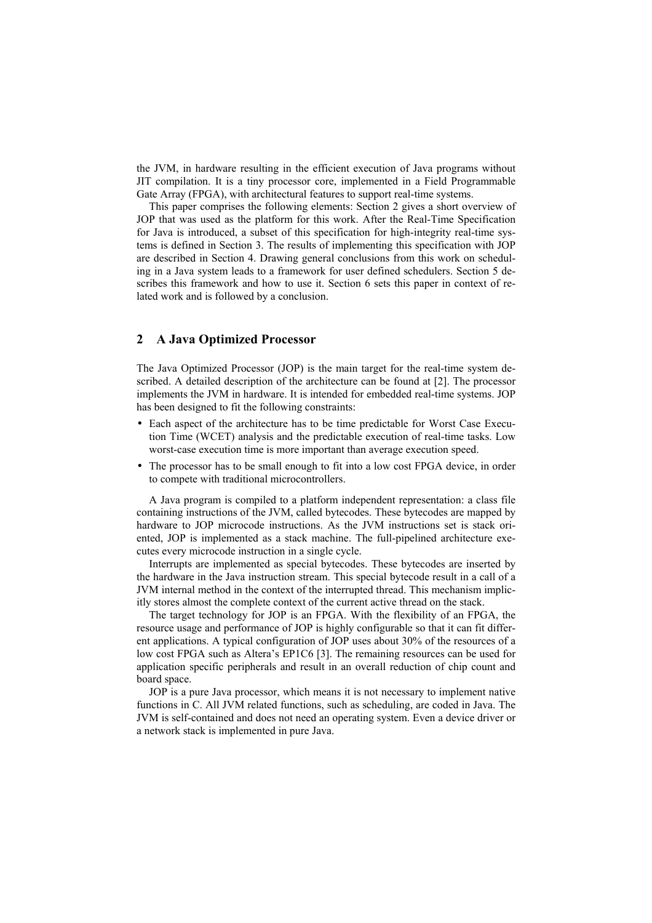the JVM, in hardware resulting in the efficient execution of Java programs without JIT compilation. It is a tiny processor core, implemented in a Field Programmable Gate Array (FPGA), with architectural features to support real-time systems.

This paper comprises the following elements: Section 2 gives a short overview of JOP that was used as the platform for this work. After the Real-Time Specification for Java is introduced, a subset of this specification for high-integrity real-time systems is defined in Section 3. The results of implementing this specification with JOP are described in Section 4. Drawing general conclusions from this work on scheduling in a Java system leads to a framework for user defined schedulers. Section 5 describes this framework and how to use it. Section 6 sets this paper in context of related work and is followed by a conclusion.

# 2 A Java Optimized Processor

The Java Optimized Processor (JOP) is the main target for the real-time system described. A detailed description of the architecture can be found at [2]. The processor implements the JVM in hardware. It is intended for embedded real-time systems. JOP has been designed to fit the following constraints:

- Each aspect of the architecture has to be time predictable for Worst Case Execution Time (WCET) analysis and the predictable execution of real-time tasks. Low worst-case execution time is more important than average execution speed.
- The processor has to be small enough to fit into a low cost FPGA device, in order to compete with traditional microcontrollers.

A Java program is compiled to a platform independent representation: a class file containing instructions of the JVM, called bytecodes. These bytecodes are mapped by hardware to JOP microcode instructions. As the JVM instructions set is stack oriented. JOP is implemented as a stack machine. The full-pipelined architecture executes every microcode instruction in a single cycle.

Interrupts are implemented as special bytecodes. These bytecodes are inserted by the hardware in the Java instruction stream. This special bytecode result in a call of a JVM internal method in the context of the interrupted thread. This mechanism implicitly stores almost the complete context of the current active thread on the stack.

The target technology for JOP is an FPGA. With the flexibility of an FPGA, the resource usage and performance of JOP is highly configurable so that it can fit different applications. A typical configuration of JOP uses about 30% of the resources of a low cost FPGA such as Altera's EP1C6 [3]. The remaining resources can be used for application specific peripherals and result in an overall reduction of chip count and board space.

JOP is a pure Java processor, which means it is not necessary to implement native functions in C. All JVM related functions, such as scheduling, are coded in Java. The JVM is self-contained and does not need an operating system. Even a device driver or a network stack is implemented in pure Java.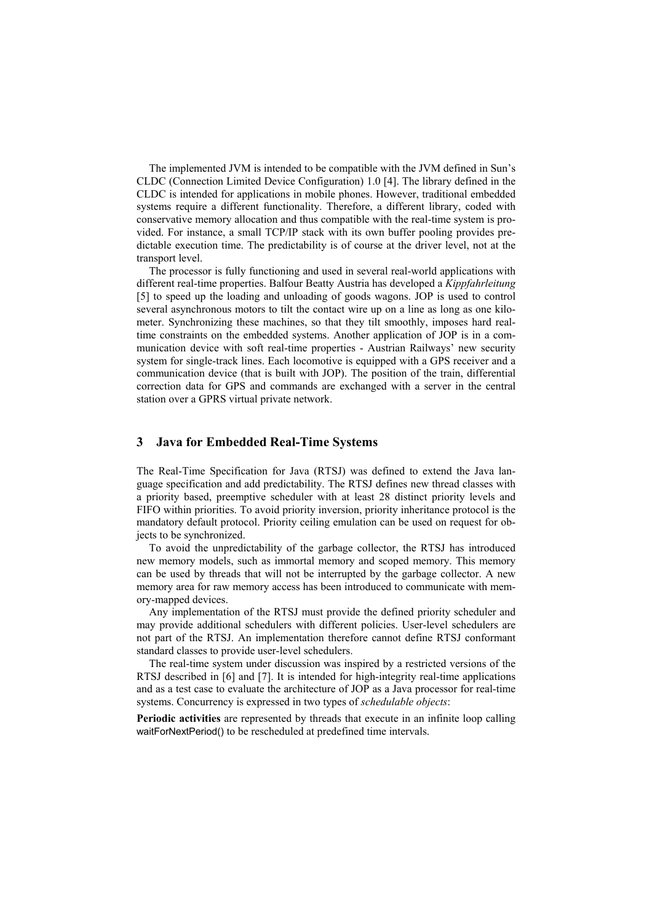The implemented JVM is intended to be compatible with the JVM defined in Sun's CLDC (Connection Limited Device Configuration) 1.0 [4]. The library defined in the CLDC is intended for applications in mobile phones. However, traditional embedded systems require a different functionality. Therefore, a different library, coded with conservative memory allocation and thus compatible with the real-time system is provided. For instance, a small TCP/IP stack with its own buffer pooling provides predictable execution time. The predictability is of course at the driver level, not at the transport level.

The processor is fully functioning and used in several real-world applications with different real-time properties. Balfour Beatty Austria has developed a Kippfahrleitung [5] to speed up the loading and unloading of goods wagons. JOP is used to control several asynchronous motors to tilt the contact wire up on a line as long as one kilometer. Synchronizing these machines, so that they tilt smoothly, imposes hard realtime constraints on the embedded systems. Another application of JOP is in a communication device with soft real-time properties - Austrian Railways' new security system for single-track lines. Each locomotive is equipped with a GPS receiver and a communication device (that is built with JOP). The position of the train, differential correction data for GPS and commands are exchanged with a server in the central station over a GPRS virtual private network.

#### $3<sup>1</sup>$ **Java for Embedded Real-Time Systems**

The Real-Time Specification for Java (RTSJ) was defined to extend the Java language specification and add predictability. The RTSJ defines new thread classes with a priority based, preemptive scheduler with at least 28 distinct priority levels and FIFO within priorities. To avoid priority inversion, priority inheritance protocol is the mandatory default protocol. Priority ceiling emulation can be used on request for objects to be synchronized.

To avoid the unpredictability of the garbage collector, the RTSJ has introduced new memory models, such as immortal memory and scoped memory. This memory can be used by threads that will not be interrupted by the garbage collector. A new memory area for raw memory access has been introduced to communicate with memory-mapped devices.

Any implementation of the RTSJ must provide the defined priority scheduler and may provide additional schedulers with different policies. User-level schedulers are not part of the RTSJ. An implementation therefore cannot define RTSJ conformant standard classes to provide user-level schedulers.

The real-time system under discussion was inspired by a restricted versions of the RTSJ described in [6] and [7]. It is intended for high-integrity real-time applications and as a test case to evaluate the architecture of JOP as a Java processor for real-time systems. Concurrency is expressed in two types of schedulable objects:

Periodic activities are represented by threads that execute in an infinite loop calling waitForNextPeriod() to be rescheduled at predefined time intervals.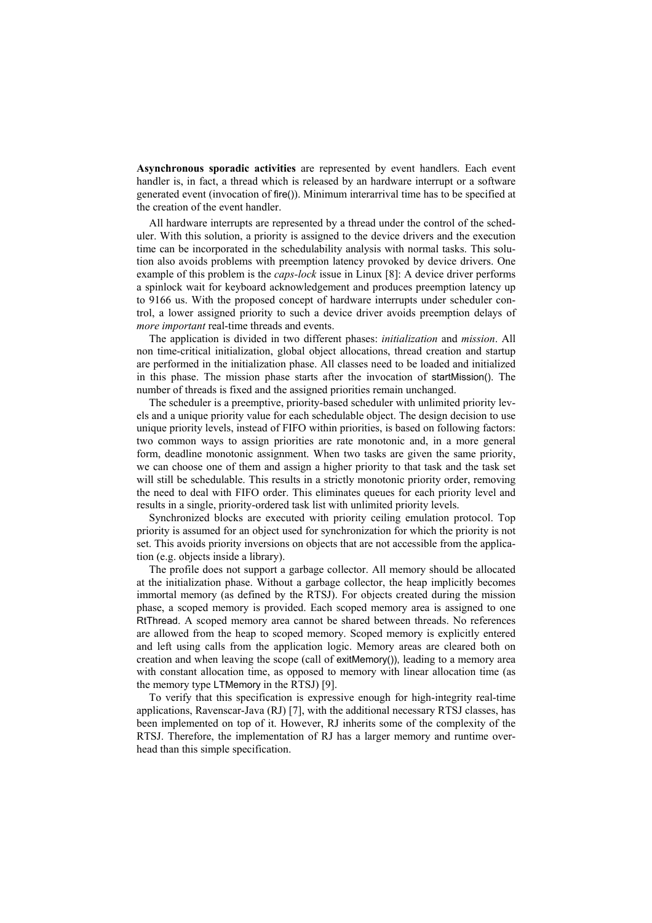Asynchronous sporadic activities are represented by event handlers. Each event handler is, in fact, a thread which is released by an hardware interrupt or a software generated event (invocation of fire()). Minimum interarrival time has to be specified at the creation of the event handler.

All hardware interrupts are represented by a thread under the control of the scheduler. With this solution, a priority is assigned to the device drivers and the execution time can be incorporated in the schedulability analysis with normal tasks. This solution also avoids problems with preemption latency provoked by device drivers. One example of this problem is the *caps-lock* issue in Linux [8]: A device driver performs a spinlock wait for keyboard acknowledgement and produces preemption latency up to 9166 us. With the proposed concept of hardware interrupts under scheduler control, a lower assigned priority to such a device driver avoids preemption delays of *more important* real-time threads and events.

The application is divided in two different phases: *initialization* and *mission*. All non time-critical initialization, global object allocations, thread creation and startup are performed in the initialization phase. All classes need to be loaded and initialized in this phase. The mission phase starts after the invocation of startMission(). The number of threads is fixed and the assigned priorities remain unchanged.

The scheduler is a preemptive, priority-based scheduler with unlimited priority levels and a unique priority value for each schedulable object. The design decision to use unique priority levels, instead of FIFO within priorities, is based on following factors: two common ways to assign priorities are rate monotonic and, in a more general form, deadline monotonic assignment. When two tasks are given the same priority, we can choose one of them and assign a higher priority to that task and the task set will still be schedulable. This results in a strictly monotonic priority order, removing the need to deal with FIFO order. This eliminates queues for each priority level and results in a single, priority-ordered task list with unlimited priority levels.

Synchronized blocks are executed with priority ceiling emulation protocol. Top priority is assumed for an object used for synchronization for which the priority is not set. This avoids priority inversions on objects that are not accessible from the application (e.g. objects inside a library).

The profile does not support a garbage collector. All memory should be allocated at the initialization phase. Without a garbage collector, the heap implicitly becomes immortal memory (as defined by the RTSJ). For objects created during the mission phase, a scoped memory is provided. Each scoped memory area is assigned to one RtThread. A scoped memory area cannot be shared between threads. No references are allowed from the heap to scoped memory. Scoped memory is explicitly entered and left using calls from the application logic. Memory areas are cleared both on creation and when leaving the scope (call of exitMemory)), leading to a memory area with constant allocation time, as opposed to memory with linear allocation time (as the memory type LTMemory in the RTSJ) [9].

To verify that this specification is expressive enough for high-integrity real-time applications, Ravenscar-Java (RJ) [7], with the additional necessary RTSJ classes, has been implemented on top of it. However, RJ inherits some of the complexity of the RTSJ. Therefore, the implementation of RJ has a larger memory and runtime overhead than this simple specification.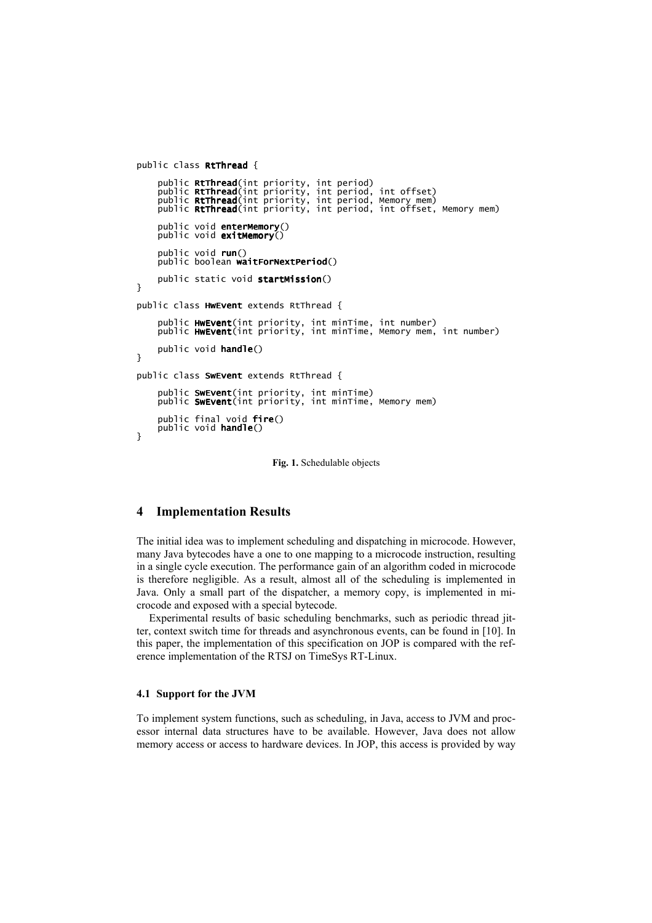```
public class RtThread {
      public RtThread(int priority, int period)
      public Rtin ead(int priority, int period, int offset)<br>public Rtinread(int priority, int period, int offset)<br>public Rtinread(int priority, int period, Memory mem)<br>public Rtinread(int priority, int period, int offset, Me
      public void enterMemory()<br>public void exitMemory()
      public void run()
      public boolean waitForNextPeriod()
      public static void startMission()
ι
public class HwEvent extends RtThread {
      public HwEvent(int priority, int minTime, int number)<br>public HwEvent(int priority, int minTime, Memory mem, int number)
      public void handle()
\mathcal{L}public class SwEvent extends RtThread {
      public SwEvent(int priority, int minTime)<br>public SwEvent(int priority, int minTime, Memory mem)
      public final void fire()<br>public void handle()
\mathcal{L}
```
Fig. 1. Schedulable objects

#### **Implementation Results**  $\overline{\mathbf{4}}$

The initial idea was to implement scheduling and dispatching in microcode. However, many Java bytecodes have a one to one mapping to a microcode instruction, resulting in a single cycle execution. The performance gain of an algorithm coded in microcode is therefore negligible. As a result, almost all of the scheduling is implemented in Java. Only a small part of the dispatcher, a memory copy, is implemented in microcode and exposed with a special bytecode.

Experimental results of basic scheduling benchmarks, such as periodic thread jitter, context switch time for threads and asynchronous events, can be found in [10]. In this paper, the implementation of this specification on JOP is compared with the reference implementation of the RTSJ on TimeSys RT-Linux.

#### 4.1 Support for the JVM

To implement system functions, such as scheduling, in Java, access to JVM and processor internal data structures have to be available. However, Java does not allow memory access or access to hardware devices. In JOP, this access is provided by way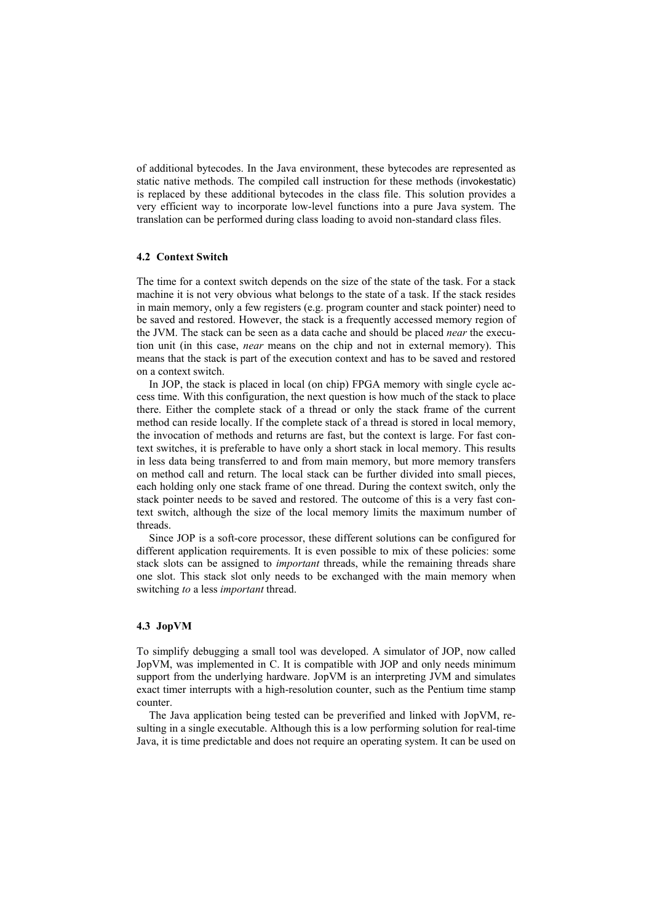of additional bytecodes. In the Java environment, these bytecodes are represented as static native methods. The compiled call instruction for these methods (invokestatic) is replaced by these additional bytecodes in the class file. This solution provides a very efficient way to incorporate low-level functions into a pure Java system. The translation can be performed during class loading to avoid non-standard class files.

# **4.2 Context Switch**

The time for a context switch depends on the size of the state of the task. For a stack machine it is not very obvious what belongs to the state of a task. If the stack resides in main memory, only a few registers (e.g. program counter and stack pointer) need to be saved and restored. However, the stack is a frequently accessed memory region of the JVM. The stack can be seen as a data cache and should be placed *near* the execution unit (in this case, *near* means on the chip and not in external memory). This means that the stack is part of the execution context and has to be saved and restored on a context switch

In JOP, the stack is placed in local (on chip) FPGA memory with single cycle access time. With this configuration, the next question is how much of the stack to place there. Either the complete stack of a thread or only the stack frame of the current method can reside locally. If the complete stack of a thread is stored in local memory, the invocation of methods and returns are fast, but the context is large. For fast context switches, it is preferable to have only a short stack in local memory. This results in less data being transferred to and from main memory, but more memory transfers on method call and return. The local stack can be further divided into small pieces, each holding only one stack frame of one thread. During the context switch, only the stack pointer needs to be saved and restored. The outcome of this is a very fast context switch, although the size of the local memory limits the maximum number of threads.

Since JOP is a soft-core processor, these different solutions can be configured for different application requirements. It is even possible to mix of these policies: some stack slots can be assigned to *important* threads, while the remaining threads share one slot. This stack slot only needs to be exchanged with the main memory when switching to a less *important* thread.

### 4.3 JopVM

To simplify debugging a small tool was developed. A simulator of JOP, now called JopVM, was implemented in C. It is compatible with JOP and only needs minimum support from the underlying hardware. JopVM is an interpreting JVM and simulates exact timer interrupts with a high-resolution counter, such as the Pentium time stamp counter.

The Java application being tested can be preverified and linked with JopVM, resulting in a single executable. Although this is a low performing solution for real-time Java, it is time predictable and does not require an operating system. It can be used on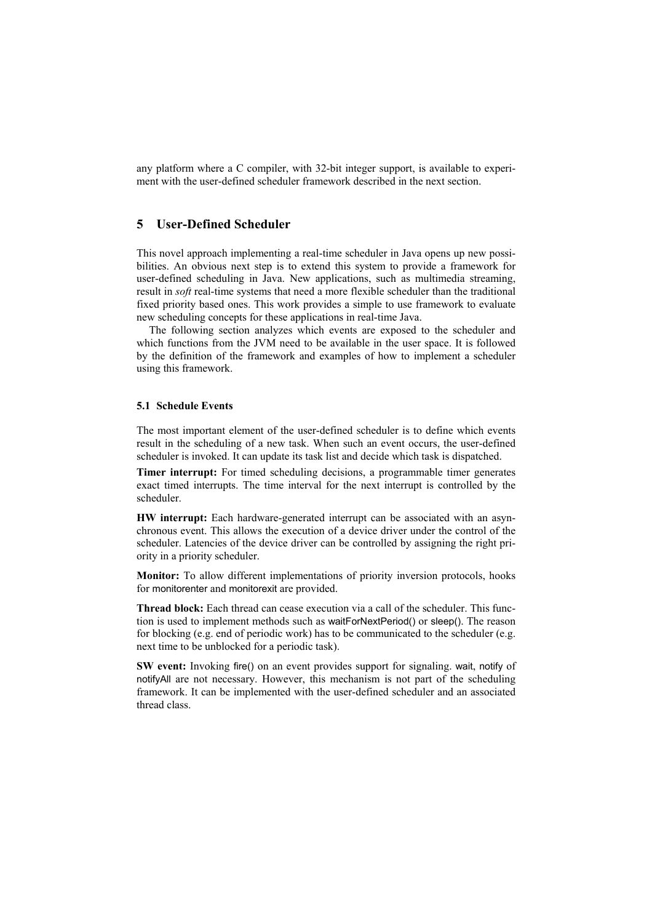any platform where a C compiler, with 32-bit integer support, is available to experiment with the user-defined scheduler framework described in the next section.

#### **User-Defined Scheduler** 5

This novel approach implementing a real-time scheduler in Java opens up new possibilities. An obvious next step is to extend this system to provide a framework for user-defined scheduling in Java. New applications, such as multimedia streaming, result in *soft* real-time systems that need a more flexible scheduler than the traditional fixed priority based ones. This work provides a simple to use framework to evaluate new scheduling concepts for these applications in real-time Java.

The following section analyzes which events are exposed to the scheduler and which functions from the JVM need to be available in the user space. It is followed by the definition of the framework and examples of how to implement a scheduler using this framework.

## **5.1 Schedule Events**

The most important element of the user-defined scheduler is to define which events result in the scheduling of a new task. When such an event occurs, the user-defined scheduler is invoked. It can update its task list and decide which task is dispatched.

Timer interrupt: For timed scheduling decisions, a programmable timer generates exact timed interrupts. The time interval for the next interrupt is controlled by the scheduler.

HW interrupt: Each hardware-generated interrupt can be associated with an asynchronous event. This allows the execution of a device driver under the control of the scheduler. Latencies of the device driver can be controlled by assigning the right priority in a priority scheduler.

Monitor: To allow different implementations of priority inversion protocols, hooks for monitorenter and monitorexit are provided.

**Thread block:** Each thread can cease execution via a call of the scheduler. This function is used to implement methods such as waitForNextPeriod() or sleep(). The reason for blocking (e.g. end of periodic work) has to be communicated to the scheduler (e.g. next time to be unblocked for a periodic task).

SW event: Invoking fire() on an event provides support for signaling, wait, notify of notifyAll are not necessary. However, this mechanism is not part of the scheduling framework. It can be implemented with the user-defined scheduler and an associated thread class.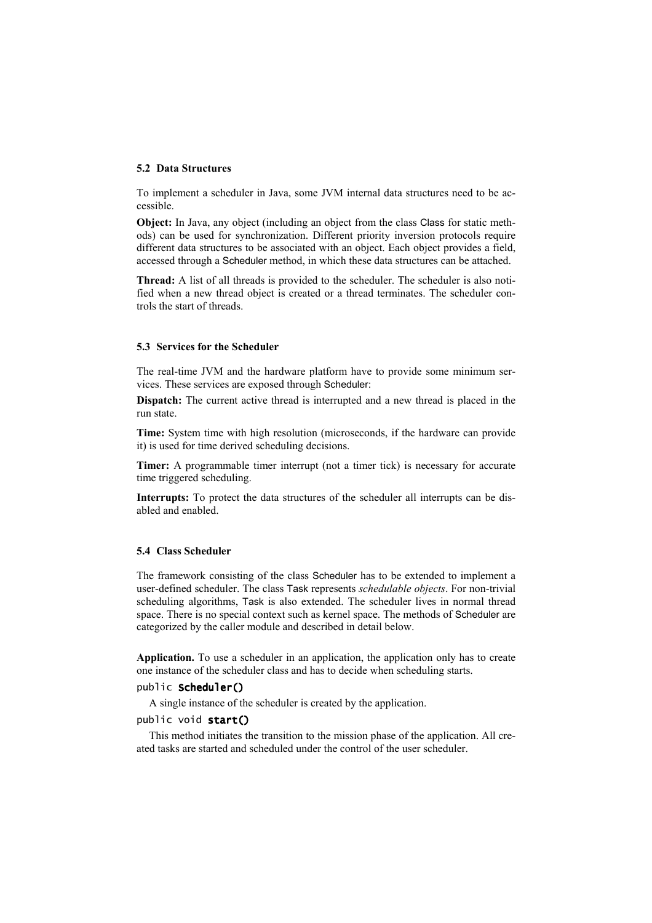#### **5.2 Data Structures**

To implement a scheduler in Java, some JVM internal data structures need to be accessible.

Object: In Java, any object (including an object from the class Class for static methods) can be used for synchronization. Different priority inversion protocols require different data structures to be associated with an object. Each object provides a field, accessed through a Scheduler method, in which these data structures can be attached.

Thread: A list of all threads is provided to the scheduler. The scheduler is also notified when a new thread object is created or a thread terminates. The scheduler controls the start of threads.

## 5.3 Services for the Scheduler

The real-time JVM and the hardware platform have to provide some minimum services. These services are exposed through Scheduler:

Dispatch: The current active thread is interrupted and a new thread is placed in the run state.

Time: System time with high resolution (microseconds, if the hardware can provide it) is used for time derived scheduling decisions.

Timer: A programmable timer interrupt (not a timer tick) is necessary for accurate time triggered scheduling.

**Interrupts:** To protect the data structures of the scheduler all interrupts can be disabled and enabled.

#### 5.4 Class Scheduler

The framework consisting of the class Scheduler has to be extended to implement a user-defined scheduler. The class Task represents schedulable objects. For non-trivial scheduling algorithms, Task is also extended. The scheduler lives in normal thread space. There is no special context such as kernel space. The methods of Scheduler are categorized by the caller module and described in detail below.

Application. To use a scheduler in an application, the application only has to create one instance of the scheduler class and has to decide when scheduling starts.

### public Scheduler()

A single instance of the scheduler is created by the application.

# public void start()

This method initiates the transition to the mission phase of the application. All created tasks are started and scheduled under the control of the user scheduler.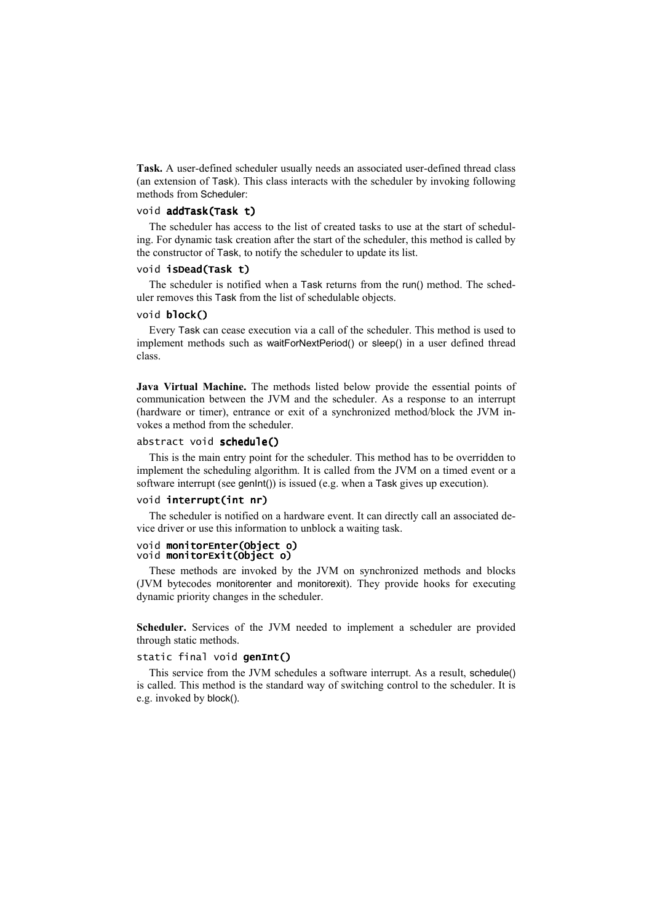Task. A user-defined scheduler usually needs an associated user-defined thread class (an extension of Task). This class interacts with the scheduler by invoking following methods from Scheduler:

# void addTask(Task t)

The scheduler has access to the list of created tasks to use at the start of scheduling. For dynamic task creation after the start of the scheduler, this method is called by the constructor of Task, to notify the scheduler to update its list.

## void isDead(Task t)

The scheduler is notified when a Task returns from the run() method. The scheduler removes this Task from the list of schedulable objects.

### void block()

Every Task can cease execution via a call of the scheduler. This method is used to implement methods such as waitForNextPeriod() or sleep() in a user defined thread class

Java Virtual Machine. The methods listed below provide the essential points of communication between the JVM and the scheduler. As a response to an interrupt (hardware or timer), entrance or exit of a synchronized method/block the JVM invokes a method from the scheduler.

# abstract void schedule()

This is the main entry point for the scheduler. This method has to be overridden to implement the scheduling algorithm. It is called from the JVM on a timed event or a software interrupt (see genlnt()) is issued (e.g. when a Task gives up execution).

#### void interrupt(int nr)

The scheduler is notified on a hardware event. It can directly call an associated device driver or use this information to unblock a waiting task.

#### void monitorEnter(Obiect o) void monitorExit(Object o)

These methods are invoked by the JVM on synchronized methods and blocks (JVM bytecodes monitorenter and monitorexit). They provide hooks for executing dynamic priority changes in the scheduler.

Scheduler. Services of the JVM needed to implement a scheduler are provided through static methods.

# static final void genInt()

This service from the JVM schedules a software interrupt. As a result, schedule() is called. This method is the standard way of switching control to the scheduler. It is e.g. invoked by block().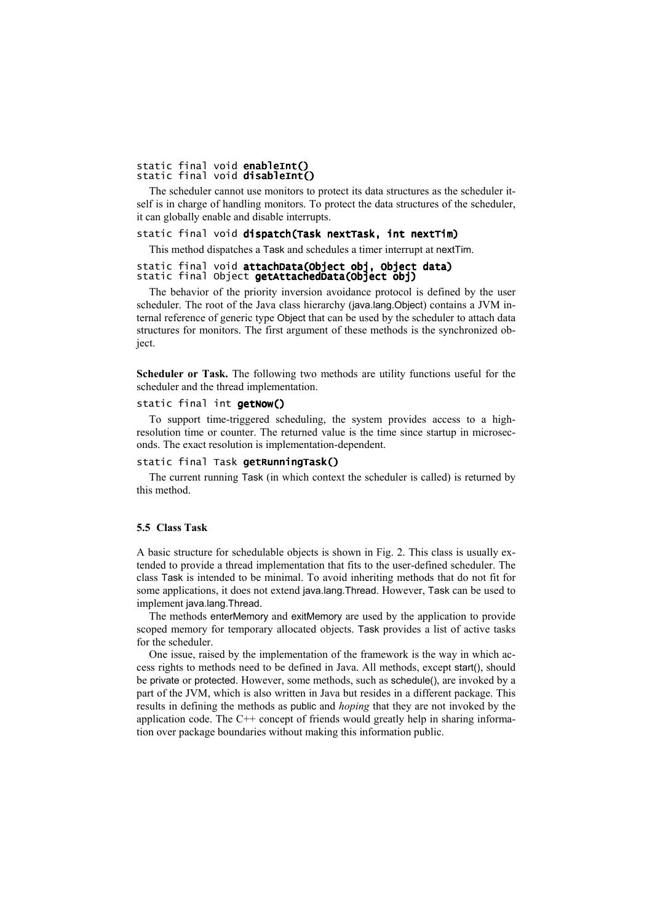# static final void enableInt()<br>static final void disableInt()

The scheduler cannot use monitors to protect its data structures as the scheduler itself is in charge of handling monitors. To protect the data structures of the scheduler, it can globally enable and disable interrupts.

# static final void dispatch(Task nextTask, int nextTim)

This method dispatches a Task and schedules a timer interrupt at nextTim.

## static final void attachData(Object obj, Object data) static final Object getAttachedData(Object Obj)

The behavior of the priority inversion avoidance protocol is defined by the user scheduler. The root of the Java class hierarchy (java.lang.Object) contains a JVM internal reference of generic type Object that can be used by the scheduler to attach data structures for monitors. The first argument of these methods is the synchronized object.

Scheduler or Task. The following two methods are utility functions useful for the scheduler and the thread implementation.

# static final int getNow()

To support time-triggered scheduling, the system provides access to a highresolution time or counter. The returned value is the time since startup in microseconds. The exact resolution is implementation-dependent.

# static final Task getRunningTask()

The current running Task (in which context the scheduler is called) is returned by this method

# 5.5 Class Task

A basic structure for schedulable objects is shown in Fig. 2. This class is usually extended to provide a thread implementation that fits to the user-defined scheduler. The class Task is intended to be minimal. To avoid inheriting methods that do not fit for some applications, it does not extend java.lang. Thread. However, Task can be used to implement java.lang.Thread.

The methods enterMemory and exitMemory are used by the application to provide scoped memory for temporary allocated objects. Task provides a list of active tasks for the scheduler.

One issue, raised by the implementation of the framework is the way in which access rights to methods need to be defined in Java. All methods, except start(), should be private or protected. However, some methods, such as schedule(), are invoked by a part of the JVM, which is also written in Java but resides in a different package. This results in defining the methods as public and *hoping* that they are not invoked by the application code. The C++ concept of friends would greatly help in sharing information over package boundaries without making this information public.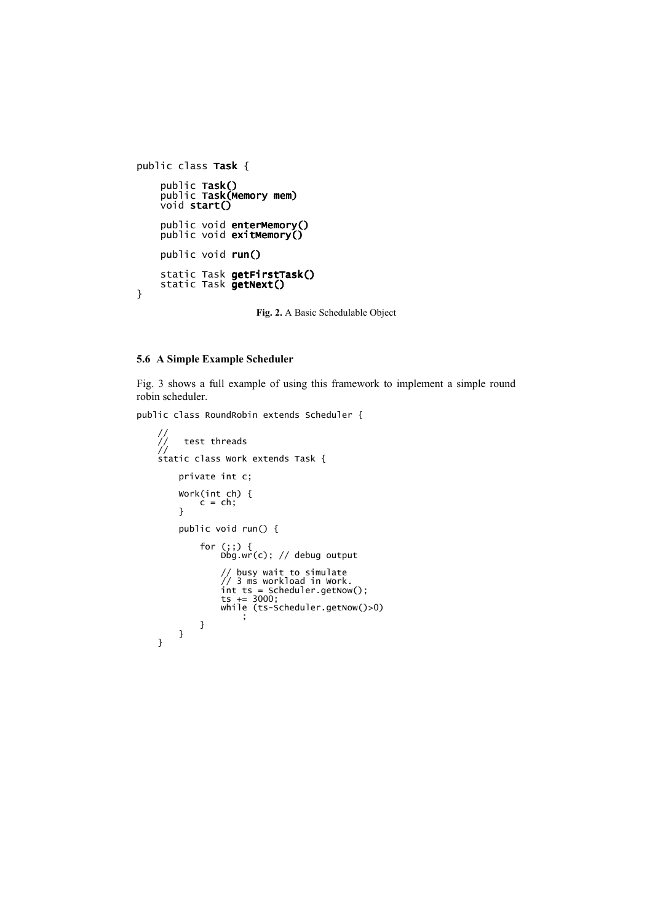```
public class Task {
      public Task()<br>public Task(Memory mem)<br>void start()
      public void enterMemory()<br>public void exitMemory()
      public void run()
      static Task getFirstTask()<br>static Task getNext()
}
```
Fig. 2. A Basic Schedulable Object

# 5.6 A Simple Example Scheduler

Fig. 3 shows a full example of using this framework to implement a simple round robin scheduler.

public class RoundRobin extends Scheduler {

```
//<br>//   test threads<br>//    tatic class work extends Task {
        private int c;
         Work(int ch) {<br>c = ch;
         \mathcal{L}public void run() {
                  for (;;) {<br>Dbg.wr(c); // debug output
                          // busy wait to simulate<br>// 3 ms workload in Work.<br>int ts = Scheduler.getNow();<br>ts += 3000;<br>while (ts-Scheduler.getNow()>0)
                                   - ;
                 \mathcal{E}\}\mathbf{R}
```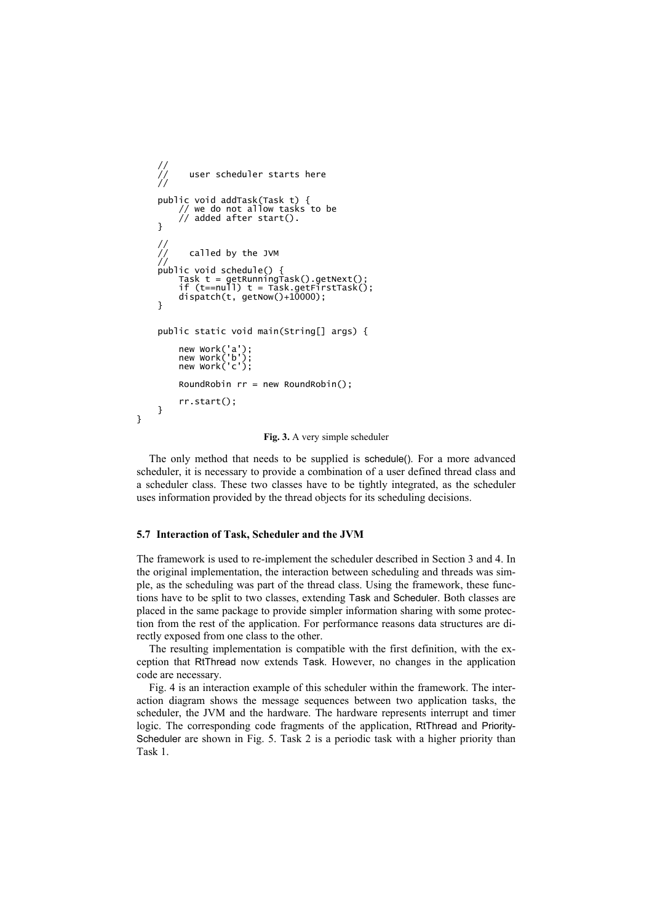```
\frac{1}{1}user scheduler starts here
public void addTask(Task t) {<br>// we do not allow tasks to be<br>// added after start().
ι
Task t = getRunningTask().getNext();<br>if (t==null) t = Task.getFirstTask();
     dispatch(t, getNow() + 10000);\mathcal{L}public static void main(String[] args) {
     new Work('a')<br>new Work('b')
     new work('c'):
     RoundRobin rr = new RoundRobin();rr.start();
}
```
Fig. 3. A very simple scheduler

The only method that needs to be supplied is schedule(). For a more advanced scheduler, it is necessary to provide a combination of a user defined thread class and a scheduler class. These two classes have to be tightly integrated, as the scheduler uses information provided by the thread objects for its scheduling decisions.

## 5.7 Interaction of Task, Scheduler and the JVM

}

The framework is used to re-implement the scheduler described in Section 3 and 4. In the original implementation, the interaction between scheduling and threads was simple, as the scheduling was part of the thread class. Using the framework, these functions have to be split to two classes, extending Task and Scheduler. Both classes are placed in the same package to provide simpler information sharing with some protection from the rest of the application. For performance reasons data structures are directly exposed from one class to the other.

The resulting implementation is compatible with the first definition, with the exception that RtThread now extends Task. However, no changes in the application code are necessary.

Fig. 4 is an interaction example of this scheduler within the framework. The interaction diagram shows the message sequences between two application tasks, the scheduler, the JVM and the hardware. The hardware represents interrupt and timer logic. The corresponding code fragments of the application, RtThread and Priority-Scheduler are shown in Fig. 5. Task 2 is a periodic task with a higher priority than Task 1.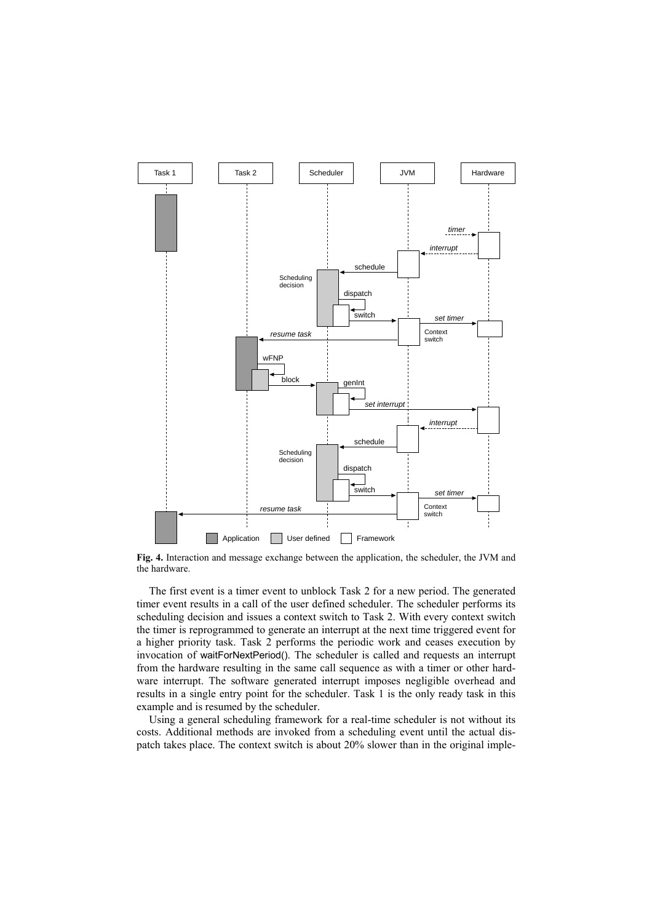

Fig. 4. Interaction and message exchange between the application, the scheduler, the JVM and the hardware.

The first event is a timer event to unblock Task 2 for a new period. The generated timer event results in a call of the user defined scheduler. The scheduler performs its scheduling decision and issues a context switch to Task 2. With every context switch the timer is reprogrammed to generate an interrupt at the next time triggered event for a higher priority task. Task 2 performs the periodic work and ceases execution by invocation of waitForNextPeriod(). The scheduler is called and requests an interrupt from the hardware resulting in the same call sequence as with a timer or other hardware interrupt. The software generated interrupt imposes negligible overhead and results in a single entry point for the scheduler. Task 1 is the only ready task in this example and is resumed by the scheduler.

Using a general scheduling framework for a real-time scheduler is not without its costs. Additional methods are invoked from a scheduling event until the actual dispatch takes place. The context switch is about 20% slower than in the original imple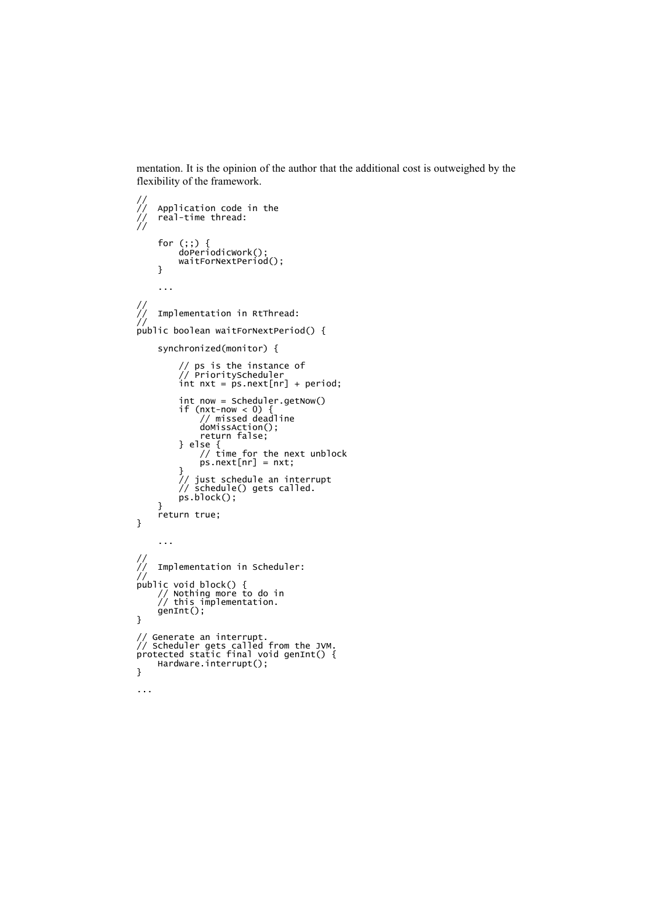mentation. It is the opinion of the author that the additional cost is outweighed by the flexibility of the framework.

```
Application code in the<br>real-time thread:
\frac{1}{1}for (;;) {<br>doPeriodicWork();<br>waitForNextPeriod();
       \}\sim .
\frac{1}{2}Implementation in RtThread:
//<br>public boolean waitForNextPeriod() {
        synchronized(monitor) {
                // ps is the instance of<br>// PriorityScheduler<br>int nxt = ps.next[nr] + period;
                int now = Scheduler.getNow()<br>if (nxt-now < 0) {<br>// missed deadline<br>doMissAction();<br>return false;
               } else {<br>// time for the next unblock<br>ps.next[nr] = nxt;
                }<br>// just schedule an interrupt<br>// schedule() gets called.
                ps.block();
        ٦
        return true;
\mathcal{E}\ddotsc\frac{1}{1}Implementation in Scheduler:
public void block() {<br>// Nothing more to do in<br>// this implementation.
        genInt();
}
// Generate an interrupt.<br>// Scheduler gets called from the JVM.<br>protected static final void genInt() {
       Hardware.interrupt();
\mathbf{R}\ddotsc
```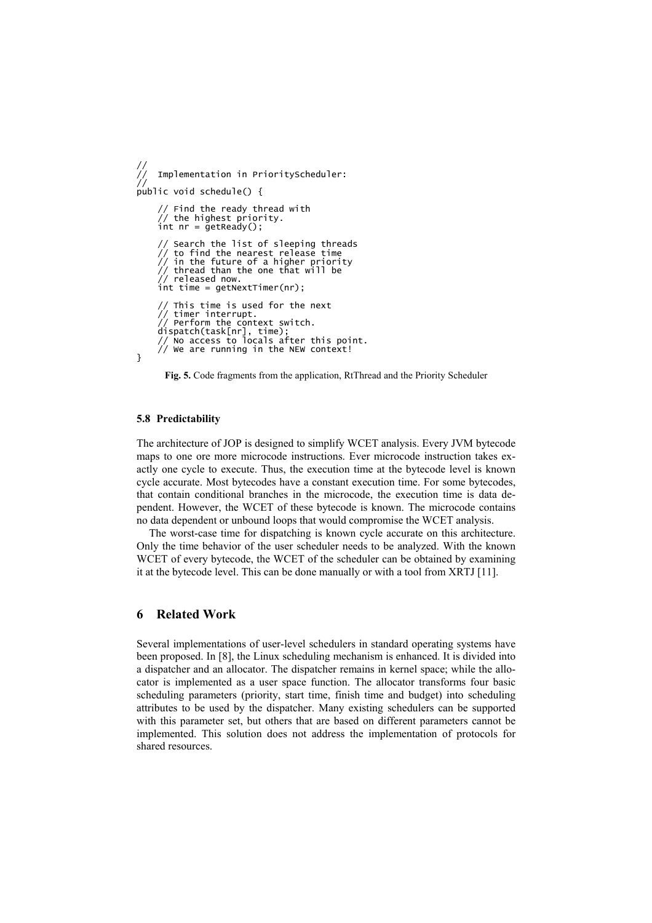```
Implementation in PriorityScheduler:
public void schedule() {
       // Find the ready thread with
       \frac{1}{\pi} the highest priority.<br>int nr = getReady();
       // Search the list of sleeping threads<br>// to find the nearest release time<br>// in the future of a higher priority
       // thread than the one that will be<br>// thread than the one that will be<br>// released now.
       int time = getNextTimer(nr);
            This time is used for the next
       // timer interrupt.
            Perform the context switch.
       dispatch(task[nr], time);<br>dispatch(task[nr], time);<br>// No access to locals after this point.<br>// We are running in the NEW context!
\mathbf{R}
```
Fig. 5. Code fragments from the application, RtThread and the Priority Scheduler

## 5.8 Predictability

The architecture of JOP is designed to simplify WCET analysis. Every JVM bytecode maps to one ore more microcode instructions. Ever microcode instruction takes exactly one cycle to execute. Thus, the execution time at the bytecode level is known cycle accurate. Most bytecodes have a constant execution time. For some bytecodes, that contain conditional branches in the microcode, the execution time is data dependent. However, the WCET of these bytecode is known. The microcode contains no data dependent or unbound loops that would compromise the WCET analysis.

The worst-case time for dispatching is known cycle accurate on this architecture. Only the time behavior of the user scheduler needs to be analyzed. With the known WCET of every bytecode, the WCET of the scheduler can be obtained by examining it at the bytecode level. This can be done manually or with a tool from XRTJ [11].

#### **Related Work** 6

Several implementations of user-level schedulers in standard operating systems have been proposed. In [8], the Linux scheduling mechanism is enhanced. It is divided into a dispatcher and an allocator. The dispatcher remains in kernel space; while the allocator is implemented as a user space function. The allocator transforms four basic scheduling parameters (priority, start time, finish time and budget) into scheduling attributes to be used by the dispatcher. Many existing schedulers can be supported with this parameter set, but others that are based on different parameters cannot be implemented. This solution does not address the implementation of protocols for shared resources.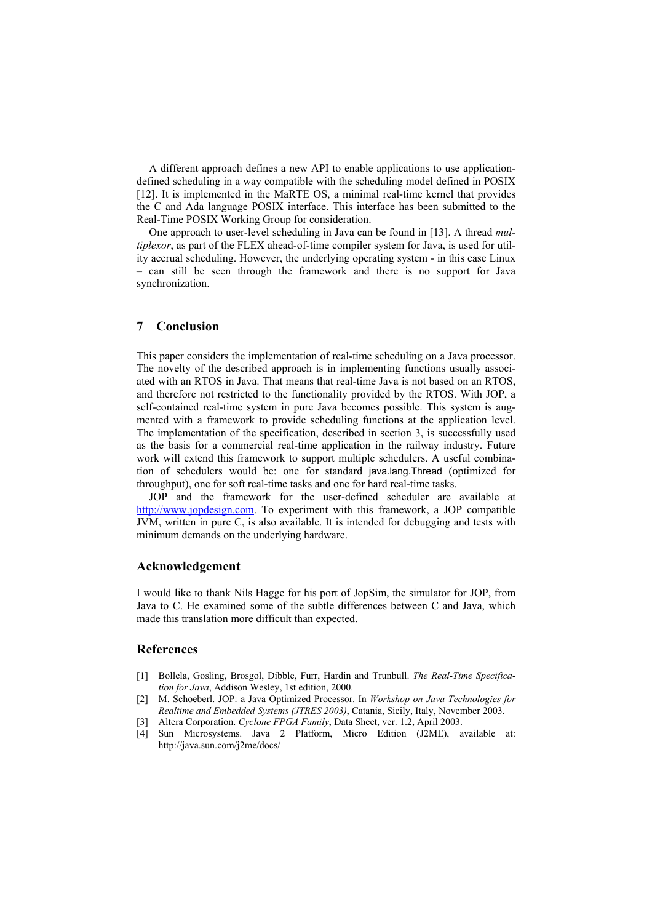A different approach defines a new API to enable applications to use applicationdefined scheduling in a way compatible with the scheduling model defined in POSIX [12]. It is implemented in the MaRTE OS, a minimal real-time kernel that provides the C and Ada language POSIX interface. This interface has been submitted to the Real-Time POSIX Working Group for consideration.

One approach to user-level scheduling in Java can be found in [13]. A thread multiplexor, as part of the FLEX ahead-of-time compiler system for Java, is used for utility accrual scheduling. However, the underlying operating system - in this case Linux - can still be seen through the framework and there is no support for Java synchronization.

#### 7 Conclusion

This paper considers the implementation of real-time scheduling on a Java processor. The novelty of the described approach is in implementing functions usually associated with an RTOS in Java. That means that real-time Java is not based on an RTOS. and therefore not restricted to the functionality provided by the RTOS. With JOP, a self-contained real-time system in pure Java becomes possible. This system is augmented with a framework to provide scheduling functions at the application level. The implementation of the specification, described in section 3, is successfully used as the basis for a commercial real-time application in the railway industry. Future work will extend this framework to support multiple schedulers. A useful combination of schedulers would be: one for standard java.lang.Thread (optimized for throughput), one for soft real-time tasks and one for hard real-time tasks.

JOP and the framework for the user-defined scheduler are available at http://www.jopdesign.com. To experiment with this framework, a JOP compatible JVM, written in pure C, is also available. It is intended for debugging and tests with minimum demands on the underlying hardware.

# Acknowledgement

I would like to thank Nils Hagge for his port of JopSim, the simulator for JOP, from Java to C. He examined some of the subtle differences between C and Java, which made this translation more difficult than expected.

# **References**

- [1] Bollela, Gosling, Brosgol, Dibble, Furr, Hardin and Trunbull. The Real-Time Specification for Java, Addison Wesley, 1st edition, 2000.
- [2] M. Schoeberl. JOP: a Java Optimized Processor. In Workshop on Java Technologies for Realtime and Embedded Systems (JTRES 2003), Catania, Sicily, Italy, November 2003.
- [3] Altera Corporation. Cyclone FPGA Family, Data Sheet, ver. 1.2, April 2003.
- [4] Sun Microsystems. Java 2 Platform, Micro Edition (J2ME), available at: http://java.sun.com/j2me/docs/